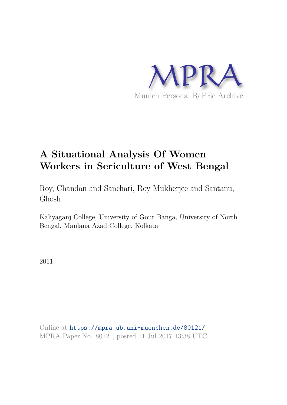

# **A Situational Analysis Of Women Workers in Sericulture of West Bengal**

Roy, Chandan and Sanchari, Roy Mukherjee and Santanu, Ghosh

Kaliyaganj College, University of Gour Banga, University of North Bengal, Maulana Azad College, Kolkata

2011

Online at https://mpra.ub.uni-muenchen.de/80121/ MPRA Paper No. 80121, posted 11 Jul 2017 13:38 UTC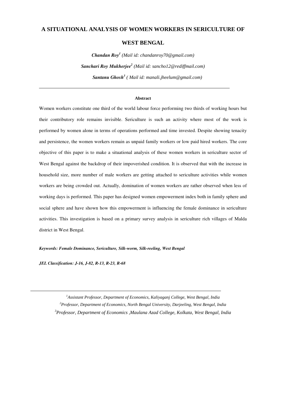# **A SITUATIONAL ANALYSIS OF WOMEN WORKERS IN SERICULTURE OF**

# **WEST BENGAL**

*Chandan Roy<sup>1</sup> (Mail id: chandanroy70@gmail.com) Sanchari Roy Mukherjee<sup>2</sup> (Mail id: sancho12@rediffmail.com) Santanu Ghosh<sup>3</sup> ( Mail id: manali.jheelum@gmail.com)*

#### **Abstract**

Women workers constitute one third of the world labour force performing two thirds of working hours but their contributory role remains invisible. Sericulture is such an activity where most of the work is performed by women alone in terms of operations performed and time invested. Despite showing tenacity and persistence, the women workers remain as unpaid family workers or low paid hired workers. The core objective of this paper is to make a situational analysis of these women workers in sericulture sector of West Bengal against the backdrop of their impoverished condition. It is observed that with the increase in household size, more number of male workers are getting attached to sericulture activities while women workers are being crowded out. Actually, domination of women workers are rather observed when less of working days is performed. This paper has designed women empowerment index both in family sphere and social sphere and have shown how this empowerment is influencing the female dominance in sericulture activities. This investigation is based on a primary survey analysis in sericulture rich villages of Malda district in West Bengal.

*Keywords: Female Dominance, Sericulture, Silk-worm, Silk-reeling, West Bengal* 

*JEL Classification: J-16, J-82, R-13, R-23, R-68* 

*<sup>1</sup>Assistant Professor, Department of Economics, Kaliyaganj College, West Bengal, India <sup>2</sup>Professor, Department of Economics, North Bengal University, Darjeeling, West Bengal, India <sup>3</sup>Professor, Department of Economics ,Maulana Azad College, Kolkata, West Bengal, India*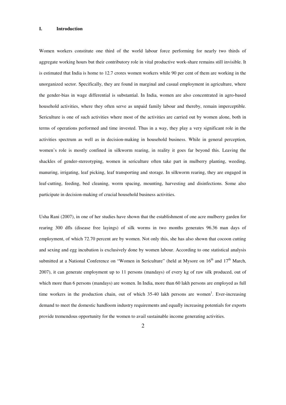#### **I. Introduction**

Women workers constitute one third of the world labour force performing for nearly two thirds of aggregate working hours but their contributory role in vital productive work-share remains still invisible. It is estimated that India is home to 12.7 crores women workers while 90 per cent of them are working in the unorganized sector. Specifically, they are found in marginal and casual employment in agriculture, where the gender-bias in wage differential is substantial. In India, women are also concentrated in agro-based household activities, where they often serve as unpaid family labour and thereby, remain imperceptible. Sericulture is one of such activities where most of the activities are carried out by women alone, both in terms of operations performed and time invested. Thus in a way, they play a very significant role in the activities spectrum as well as in decision-making in household business. While in general perception, women's role is mostly confined in silkworm rearing, in reality it goes far beyond this. Leaving the shackles of gender-stereotyping, women in sericulture often take part in mulberry planting, weeding, manuring, irrigating, leaf picking, leaf transporting and storage. In silkworm rearing, they are engaged in leaf-cutting, feeding, bed cleaning, worm spacing, mounting, harvesting and disinfections. Some also participate in decision-making of crucial household business activities.

Usha Rani (2007), in one of her studies have shown that the establishment of one acre mulberry garden for rearing 300 dfls (disease free layings) of silk worms in two months generates 96.36 man days of employment, of which 72.70 percent are by women. Not only this, she has also shown that cocoon cutting and sexing and egg incubation is exclusively done by women labour. According to one statistical analysis submitted at a National Conference on "Women in Sericulture" (held at Mysore on 16<sup>th</sup> and 17<sup>th</sup> March, 2007), it can generate employment up to 11 persons (mandays) of every kg of raw silk produced, out of which more than 6 persons (mandays) are women. In India, more than 60 lakh persons are employed as full time workers in the production chain, out of which 35-40 lakh persons are women<sup>1</sup>. Ever-increasing demand to meet the domestic handloom industry requirements and equally increasing potentials for exports provide tremendous opportunity for the women to avail sustainable income generating activities.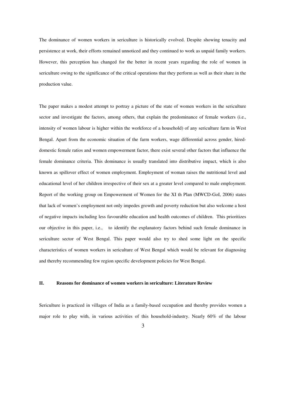The dominance of women workers in sericulture is historically evolved. Despite showing tenacity and persistence at work, their efforts remained unnoticed and they continued to work as unpaid family workers. However, this perception has changed for the better in recent years regarding the role of women in sericulture owing to the significance of the critical operations that they perform as well as their share in the production value.

The paper makes a modest attempt to portray a picture of the state of women workers in the sericulture sector and investigate the factors, among others, that explain the predominance of female workers (i.e., intensity of women labour is higher within the workforce of a household) of any sericulture farm in West Bengal. Apart from the economic situation of the farm workers, wage differential across gender, hireddomestic female ratios and women empowerment factor, there exist several other factors that influence the female dominance criteria. This dominance is usually translated into distributive impact, which is also known as spillover effect of women employment. Employment of woman raises the nutritional level and educational level of her children irrespective of their sex at a greater level compared to male employment. Report of the working group on Empowerment of Women for the XI th Plan (MWCD-GoI, 2006) states that lack of women's employment not only impedes growth and poverty reduction but also welcome a host of negative impacts including less favourable education and health outcomes of children. This prioritizes our objective in this paper, i.e., to identify the explanatory factors behind such female dominance in sericulture sector of West Bengal. This paper would also try to shed some light on the specific characteristics of women workers in sericulture of West Bengal which would be relevant for diagnosing and thereby recommending few region specific development policies for West Bengal.

## **II. Reasons for dominance of women workers in sericulture: Literature Review**

Sericulture is practiced in villages of India as a family-based occupation and thereby provides women a major role to play with, in various activities of this household-industry. Nearly 60% of the labour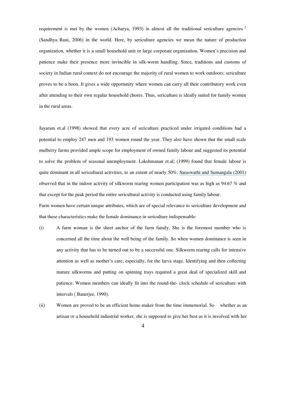requirement is met by the women (Acharya, 1993) in almost all the traditional sericulture agencies<sup>2</sup> (Sandhya Rani, 2006) in the world. Here, by sericulture agencies we mean the nature of production organization, whether it is a small household unit or large corporate organization. Women's precision and patience make their presence more invincible in silk-worm handling. Since, traditions and customs of society in Indian rural context do not encourage the majority of rural women to work outdoors; sericulture proves to be a boon. It gives a wide opportunity where women can carry all their contributory work even after attending to their own regular household chores. Thus, sericulture is ideally suited for family women in the rural areas.

Jayaram et.al (1998) showed that every acre of sericulture practiced under irrigated conditions had a potential to employ 247 men and 193 women round the year. They also have shown that the small scale mulberry farms provided ample scope for employment of owned family labour and suggested its potential to solve the problem of seasonal unemployment. Lakshmanan et.al; (1999) found that female labour is quite dominant in all sericultural activities, to an extent of nearly 50%. Saraswathi and Sumangala (2001) observed that in the indoor activity of silkworm rearing women participation was as high as 94.67 % and that except for the peak period the entire sericultural activity is conducted using family labour.

Farm women have certain unique attributes, which are of special relevance to sericulture development and that these characteristics make the female dominance in sericulture indispensable:

- (i) A farm woman is the sheet anchor of the farm family. She is the foremost member who is concerned all the time about the well being of the family. So when women dominance is seen in any activity that has to be turned out to be a successful one. Silkworm rearing calls for intensive attention as well as mother's care, especially, for the larva stage. Identifying and then collecting mature silkworms and putting on spinning trays required a great deal of specialized skill and patience. Women members can ideally fit into the round-the- clock schedule of sericulture with intervals ( Banerjee, 1990).
- (ii) Women are proved to be an efficient home-maker from the time immemorial. So whether as an artisan or a household industrial worker, she is supposed to give her best as it is involved with her
	- 4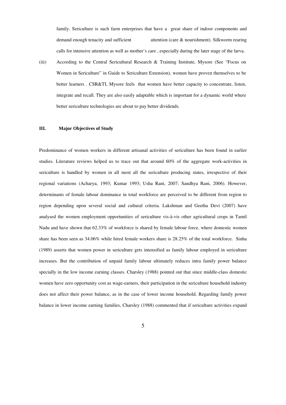family. Sericulture is such farm enterprises that have a great share of indoor components and demand enough tenacity and sufficient attention (care & nourishment). Silkworm rearing calls for intensive attention as well as mother's care , especially during the later stage of the larva.

(iii) According to the Central Sericultural Research & Training Institute, Mysore (See "Focus on Women in Sericulture" in Guide to Sericulture Extension), women have proven themselves to be better learners . CSR&TI, Mysore feels that women have better capacity to concentrate, listen, integrate and recall. They are also easily adaptable which is important for a dynamic world where better sericulture technologies are about to pay better dividends.

#### **III. Major Objectives of Study**

Predominance of women workers in different artisanal activities of sericulture has been found in earlier studies. Literature reviews helped us to trace out that around 60% of the aggregate work-activities in sericulture is handled by women in all most all the sericulture producing states, irrespective of their regional variations (Acharya, 1993; Kumar 1993; Usha Rani, 2007; Sandhya Rani, 2006). However, determinants of female labour dominance in total workforce are perceived to be different from region to region depending upon several social and cultural criteria. Lakshman and Geetha Devi (2007) have analysed the women employment opportunities of sericulture vis-à-vis other agricultural crops in Tamil Nadu and have shown that 62.33% of workforce is shared by female labour force, where domestic women share has been seen as 34.06% while hired female workers share is 28.25% of the total workforce. Sinha (1989) asserts that women power in sericulture gets intensified as family labour employed in sericulture increases. But the contribution of unpaid family labour ultimately reduces intra family power balance specially in the low income earning classes. Charsley (1988) pointed out that since middle-class domestic women have zero opportunity cost as wage-earners, their participation in the sericulture household industry does not affect their power balance, as in the case of lower income household. Regarding family power balance in lower income earning families, Charsley (1988) commented that if sericulture activities expand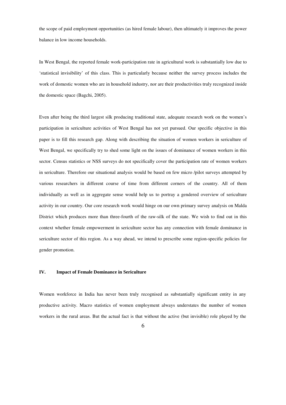the scope of paid employment opportunities (as hired female labour), then ultimately it improves the power balance in low income households.

In West Bengal, the reported female work-participation rate in agricultural work is substantially low due to 'statistical invisibility' of this class. This is particularly because neither the survey process includes the work of domestic women who are in household industry, nor are their productivities truly recognized inside the domestic space (Bagchi, 2005).

Even after being the third largest silk producing traditional state, adequate research work on the women's participation in sericulture activities of West Bengal has not yet pursued. Our specific objective in this paper is to fill this research gap. Along with describing the situation of women workers in sericulture of West Bengal, we specifically try to shed some light on the issues of dominance of women workers in this sector. Census statistics or NSS surveys do not specifically cover the participation rate of women workers in sericulture. Therefore our situational analysis would be based on few micro /pilot surveys attempted by various researchers in different course of time from different corners of the country. All of them individually as well as in aggregate sense would help us to portray a gendered overview of sericulture activity in our country. Our core research work would hinge on our own primary survey analysis on Malda District which produces more than three-fourth of the raw-silk of the state. We wish to find out in this context whether female empowerment in sericulture sector has any connection with female dominance in sericulture sector of this region. As a way ahead, we intend to prescribe some region-specific policies for gender promotion.

# **IV. Impact of Female Dominance in Sericulture**

Women workforce in India has never been truly recognised as substantially significant entity in any productive activity. Macro statistics of women employment always understates the number of women workers in the rural areas. But the actual fact is that without the active (but invisible) role played by the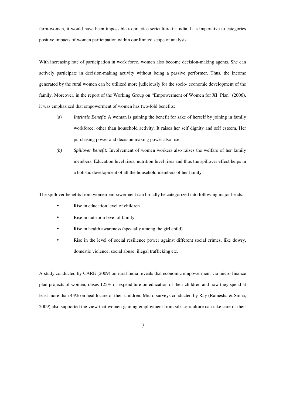farm-women, it would have been impossible to practice sericulture in India. It is imperative to categories positive impacts of women participation within our limited scope of analysis.

With increasing rate of participation in work force, women also become decision-making agents. She can actively participate in decision-making activity without being a passive performer. Thus, the income generated by the rural women can be utilized more judiciously for the socio- economic development of the family. Moreover, in the report of the Working Group on "Empowerment of Women for XI Plan" (2006), it was emphasized that empowerment of women has two-fold benefits:

- (a) *Intrinsic Benefit*: A woman is gaining the benefit for sake of herself by joining in family workforce, other than household activity. It raises her self dignity and self esteem. Her purchasing power and decision making power also rise.
- *(b) Spillover benefit:* Involvement of women workers also raises the welfare of her family members. Education level rises, nutrition level rises and thus the spillover effect helps in a holistic development of all the household members of her family.

The spillover benefits from women-empowerment can broadly be categorized into following major heads:

- Rise in education level of children
- Rise in nutrition level of family
- Rise in health awareness (specially among the girl child)
- Rise in the level of social resilience power against different social crimes, like dowry, domestic violence, social abuse, illegal trafficking etc.

A study conducted by CARE (2009) on rural India reveals that economic empowerment via micro finance plan projects of women, raises 125% of expenditure on education of their children and now they spend at least more than 43% on health care of their children. Micro surveys conducted by Ray (Ramesha & Sinha, 2009) also supported the view that women gaining employment from silk-sericulture can take care of their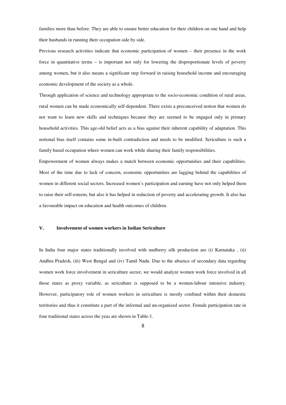families more than before. They are able to ensure better education for their children on one hand and help their husbands in running their occupation side by side.

Previous research activities indicate that economic participation of women – their presence in the work force in quantitative terms – is important not only for lowering the disproportionate levels of poverty among women, but it also means a significant step forward in raising household income and encouraging economic development of the society as a whole.

Through application of science and technology appropriate to the socio-economic condition of rural areas, rural women can be made economically self-dependent. There exists a preconceived notion that women do not want to learn new skills and techniques because they are seemed to be engaged only in primary household activities. This age-old belief acts as a bias against their inherent capability of adaptation. This notional bias itself contains some in-built contradiction and needs to be modified. Sericulture is such a family based occupation where women can work while sharing their family responsibilities.

Empowerment of women always makes a match between economic opportunities and their capabilities. Most of the time due to lack of concern, economic opportunities are lagging behind the capabilities of women in different social sectors. Increased women's participation and earning have not only helped them to raise their self-esteem, but also it has helped in reduction of poverty and accelerating growth. It also has a favourable impact on education and health outcomes of children.

## **V. Involvement of women workers in Indian Sericulture**

In India four major states traditionally involved with mulberry silk production are (i) Karnataka , (ii) Andhra Pradesh, (iii) West Bengal and (iv) Tamil Nadu. Due to the absence of secondary data regarding women work force involvement in sericulture sector, we would analyze women work force involved in all those states as proxy variable, as sericulture is supposed to be a women-labour intensive industry. However, participatory role of women workers in sericulture is mostly confined within their domestic territories and thus it constitute a part of the informal and un-organized sector. Female participation rate in four traditional states across the yeas are shown in Table-1.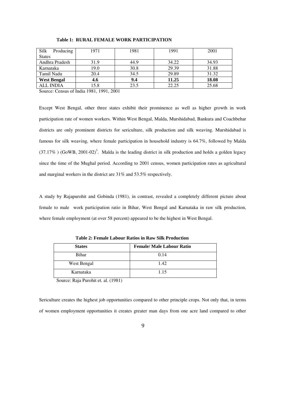| Silk<br>Producing  | 1971 | 1981 | 1991  | 2001  |
|--------------------|------|------|-------|-------|
| <b>States</b>      |      |      |       |       |
| Andhra Pradesh     | 31.9 | 44.9 | 34.22 | 34.93 |
| Karnataka          | 19.0 | 30.8 | 29.39 | 31.88 |
| Tamil Nadu         | 20.4 | 34.5 | 29.89 | 31.32 |
| <b>West Bengal</b> | 4.6  | 9.4  | 11.25 | 18.08 |
| <b>ALL INDIA</b>   | 15.8 | 23.5 | 22.25 | 25.68 |

## **Table 1: RURAL FEMALE WORK PARTICIPATION**

Source: Census of India 1981, 1991, 2001

Except West Bengal, other three states exhibit their prominence as well as higher growth in work participation rate of women workers. Within West Bengal, Malda, Murshidabad, Bankura and Coachbehar districts are only prominent districts for sericulture, silk production and silk weaving. Murshidabad is famous for silk weaving, where female participation in household industry is 64.7%, followed by Malda  $(37.17\%)$  (GoWB, 2001-02)<sup>3</sup>. Malda is the leading district in silk production and holds a golden legacy since the time of the Mughal period. According to 2001 census, women participation rates as agricultural and marginal workers in the district are 31% and 53.5% respectively.

A study by Rajapurohit and Gobinda (1981), in contrast, revealed a completely different picture about female to male work participation ratio in Bihar, West Bengal and Karnataka in raw silk production, where female employment (at over 58 percent) appeared to be the highest in West Bengal.

| <b>States</b> | <b>Female/ Male Labour Ratio</b> |
|---------------|----------------------------------|
| Bihar         | 0.14                             |
| West Bengal   | 1.42                             |
| Karnataka     | 1.15                             |

**Table 2: Female Labour Ratios in Raw Silk Production** 

Source: Raja Purohit et. al. (1981)

Sericulture creates the highest job opportunities compared to other principle crops. Not only that, in terms of women employment opportunities it creates greater man days from one acre land compared to other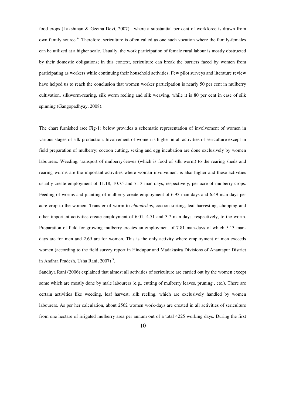food crops (Lakshman & Geetha Devi, 2007), where a substantial per cent of workforce is drawn from own family source<sup>4</sup>. Therefore, sericulture is often called as one such vocation where the family-females can be utilized at a higher scale. Usually, the work participation of female rural labour is mostly obstructed by their domestic obligations; in this context, sericulture can break the barriers faced by women from participating as workers while continuing their household activities. Few pilot surveys and literature review have helped us to reach the conclusion that women worker participation is nearly 50 per cent in mulberry cultivation, silkworm-rearing, silk worm reeling and silk weaving, while it is 80 per cent in case of silk spinning (Gangopadhyay, 2008).

The chart furnished (see Fig-1) below provides a schematic representation of involvement of women in various stages of silk production. Involvement of women is higher in all activities of sericulture except in field preparation of mulberry; cocoon cutting, sexing and egg incubation are done exclusively by women labourers. Weeding, transport of mulberry-leaves (which is food of silk worm) to the rearing sheds and rearing worms are the important activities where woman involvement is also higher and these activities usually create employment of 11.18, 10.75 and 7.13 man days, respectively, per acre of mulberry crops. Feeding of worms and planting of mulberry create employment of 6.93 man days and 6.49 man days per acre crop to the women. Transfer of worm to *chandrikas*, cocoon sorting, leaf harvesting, chopping and other important activities create employment of 6.01, 4.51 and 3.7 man-days, respectively, to the worm. Preparation of field for growing mulberry creates an employment of 7.81 man-days of which 5.13 mandays are for men and 2.69 are for women. This is the only activity where employment of men exceeds women (according to the field survey report in Hindupur and Madakasira Divisions of Anantapur District in Andhra Pradesh, Usha Rani, 2007)<sup>5</sup>.

Sandhya Rani (2006) explained that almost all activities of sericulture are carried out by the women except some which are mostly done by male labourers (e.g., cutting of mulberry leaves, pruning, etc.). There are certain activities like weeding, leaf harvest, silk reeling, which are exclusively handled by women labourers. As per her calculation, about 2562 women work-days are created in all activities of sericulture from one hectare of irrigated mulberry area per annum out of a total 4225 working days. During the first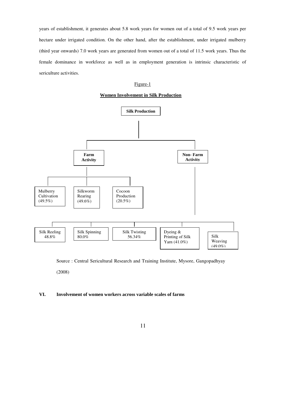years of establishment, it generates about 5.8 work years for women out of a total of 9.5 work years per hectare under irrigated condition. On the other hand, after the establishment, under irrigated mulberry (third year onwards) 7.0 work years are generated from women out of a total of 11.5 work years. Thus the female dominance in workforce as well as in employment generation is intrinsic characteristic of sericulture activities.

### Figure-1





Source : Central Sericultural Research and Training Institute, Mysore, Gangopadhyay

(2008)

## **VI. Involvement of women workers across variable scales of farms**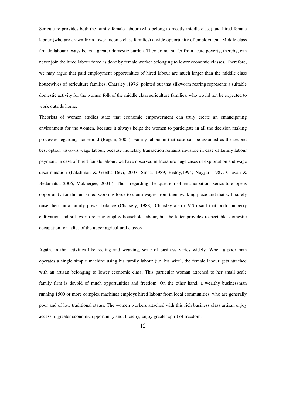Sericulture provides both the family female labour (who belong to mostly middle class) and hired female labour (who are drawn from lower income class families) a wide opportunity of employment. Middle class female labour always bears a greater domestic burden. They do not suffer from acute poverty, thereby, can never join the hired labour force as done by female worker belonging to lower economic classes. Therefore, we may argue that paid employment opportunities of hired labour are much larger than the middle class housewives of sericulture families. Charsley (1976) pointed out that silkworm rearing represents a suitable domestic activity for the women folk of the middle class sericulture families, who would not be expected to work outside home.

Theorists of women studies state that economic empowerment can truly create an emancipating environment for the women, because it always helps the women to participate in all the decision making processes regarding household (Bagchi, 2005). Family labour in that case can be assumed as the second best option vis-à-vis wage labour, because monetary transaction remains invisible in case of family labour payment. In case of hired female labour, we have observed in literature huge cases of exploitation and wage discrimination (Lakshman & Geetha Devi, 2007; Sinha, 1989; Reddy,1994; Nayyar, 1987; Chavan & Bedamatta, 2006; Mukherjee, 2004;). Thus, regarding the question of emancipation, sericulture opens opportunity for this unskilled working force to claim wages from their working place and that will surely raise their intra family power balance (Charsely, 1988). Charsley also (1976) said that both mulberry cultivation and silk worm rearing employ household labour, but the latter provides respectable, domestic occupation for ladies of the upper agricultural classes.

Again, in the activities like reeling and weaving, scale of business varies widely. When a poor man operates a single simple machine using his family labour (i.e. his wife), the female labour gets attached with an artisan belonging to lower economic class. This particular woman attached to her small scale family firm is devoid of much opportunities and freedom. On the other hand, a wealthy businessman running 1500 or more complex machines employs hired labour from local communities, who are generally poor and of low traditional status. The women workers attached with this rich business class artisan enjoy access to greater economic opportunity and, thereby, enjoy greater spirit of freedom.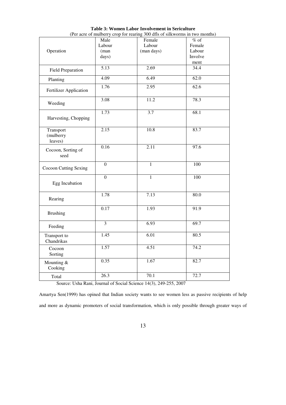|                                   | Male              | Female       | $%$ of  |
|-----------------------------------|-------------------|--------------|---------|
|                                   | Labour            | Labour       | Female  |
| Operation                         | (man              | (man days)   | Labour  |
|                                   | days)             |              | Involve |
|                                   |                   |              | ment    |
| <b>Field Preparation</b>          | $\overline{5.13}$ | 2.69         | 34.4    |
| Planting                          | 4.09              | 6.49         | 62.0    |
| Fertilizer Application            | 1.76              | 2.95         | 62.6    |
| Weeding                           | 3.08              | 11.2         | 78.3    |
| Harvesting, Chopping              | 1.73              | 3.7          | 68.1    |
| Transport<br>(mulberry<br>leaves) | 2.15              | 10.8         | 83.7    |
| Cocoon, Sorting of<br>seed        | 0.16              | 2.11         | 97.6    |
| <b>Cocoon Cutting Sexing</b>      | $\overline{0}$    | $\mathbf{1}$ | 100     |
| Egg Incubation                    | $\overline{0}$    | $\mathbf{1}$ | 100     |
| Rearing                           | 1.78              | 7.13         | 80.0    |
| <b>Brushing</b>                   | 0.17              | 1.93         | 91.9    |
| Feeding                           | $\overline{3}$    | 6.93         | 69.7    |
| Transport to<br>Chandrikas        | 1.45              | 6.01         | 80.5    |
| Cocoon<br>Sorting                 | 1.57              | 4.51         | 74.2    |
| Mounting &<br>Cooking             | 0.35              | 1.67         | 82.7    |
| Total                             | 26.3              | 70.1         | 72.7    |

**Table 3: Women Labor Involvement in Sericulture**  (Per acre of mulberry crop for rearing 300 dfls of silkworms in two months)

Source: Usha Rani, Journal of Social Science 14(3), 249-255, 2007

Amartya Sen(1999) has opined that Indian society wants to see women less as passive recipients of help and more as dynamic promoters of social transformation, which is only possible through greater ways of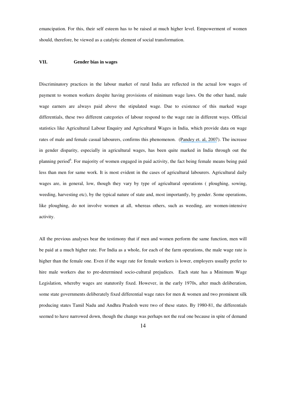emancipation. For this, their self esteem has to be raised at much higher level. Empowerment of women should, therefore, be viewed as a catalytic element of social transformation.

# **VII. Gender bias in wages**

Discriminatory practices in the labour market of rural India are reflected in the actual low wages of payment to women workers despite having provisions of minimum wage laws. On the other hand, male wage earners are always paid above the stipulated wage. Due to existence of this marked wage differentials, these two different categories of labour respond to the wage rate in different ways. Official statistics like Agricultural Labour Enquiry and Agricultural Wages in India, which provide data on wage rates of male and female casual labourers, confirms this phenomenon. (Pandey et. al, 2007). The increase in gender disparity, especially in agricultural wages, has been quite marked in India through out the planning period<sup>6</sup>. For majority of women engaged in paid activity, the fact being female means being paid less than men for same work. It is most evident in the cases of agricultural labourers. Agricultural daily wages are, in general, low, though they vary by type of agricultural operations ( ploughing, sowing, weeding, harvesting etc), by the typical nature of state and, most importantly, by gender. Some operations, like ploughing, do not involve women at all, whereas others, such as weeding, are women-intensive activity.

All the previous analyses bear the testimony that if men and women perform the same function, men will be paid at a much higher rate. For India as a whole, for each of the farm operations, the male wage rate is higher than the female one. Even if the wage rate for female workers is lower, employers usually prefer to hire male workers due to pre-determined socio-cultural prejudices. Each state has a Minimum Wage Legislation, whereby wages are statutorily fixed. However, in the early 1970s, after much deliberation, some state governments deliberately fixed differential wage rates for men & women and two prominent silk producing states Tamil Nadu and Andhra Pradesh were two of these states. By 1980-81, the differentials seemed to have narrowed down, though the change was perhaps not the real one because in spite of demand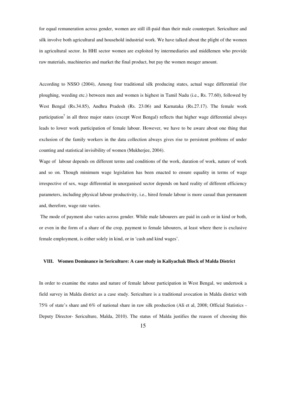for equal remuneration across gender, women are still ill-paid than their male counterpart. Sericulture and silk involve both agricultural and household industrial work. We have talked about the plight of the women in agricultural sector. In HHI sector women are exploited by intermediaries and middlemen who provide raw materials, machineries and market the final product, but pay the women meager amount.

According to NSSO (2004), Among four traditional silk producing states, actual wage differential (for ploughing, weeding etc.) between men and women is highest in Tamil Nadu (i.e., Rs. 77.60), followed by West Bengal (Rs.34.85), Andhra Pradesh (Rs. 23.06) and Karnataka (Rs.27.17). The female work participation<sup>7</sup> in all three major states (except West Bengal) reflects that higher wage differential always leads to lower work participation of female labour. However, we have to be aware about one thing that exclusion of the family workers in the data collection always gives rise to persistent problems of under counting and statistical invisibility of women (Mukherjee, 2004).

Wage of labour depends on different terms and conditions of the work, duration of work, nature of work and so on. Though minimum wage legislation has been enacted to ensure equality in terms of wage irrespective of sex, wage differential in unorganised sector depends on hard reality of different efficiency parameters, including physical labour productivity, i.e., hired female labour is more casual than permanent and, therefore, wage rate varies.

 The mode of payment also varies across gender. While male labourers are paid in cash or in kind or both, or even in the form of a share of the crop, payment to female labourers, at least where there is exclusive female employment, is either solely in kind, or in 'cash and kind wages'.

#### **VIII. Women Dominance in Sericulture: A case study in Kaliyachak Block of Malda District**

In order to examine the status and nature of female labour participation in West Bengal, we undertook a field survey in Malda district as a case study. Sericulture is a traditional avocation in Malda district with 75% of state's share and 6% of national share in raw silk production (Ali et al, 2008; Official Statistics - Deputy Director- Sericulture, Malda, 2010). The status of Malda justifies the reason of choosing this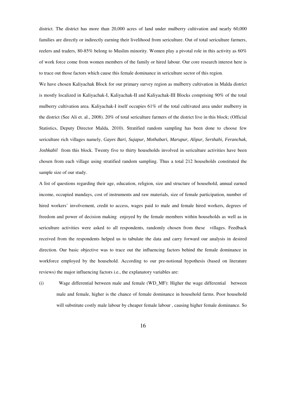district. The district has more than 20,000 acres of land under mulberry cultivation and nearly 60,000 families are directly or indirectly earning their livelihood from sericulture. Out of total sericulture farmers, reelers and traders, 80-85% belong to Muslim minority. Women play a pivotal role in this activity as 60% of work force come from women members of the family or hired labour. Our core research interest here is to trace out those factors which cause this female dominance in sericulture sector of this region.

We have chosen Kaliyachak Block for our primary survey region as mulberry cultivation in Malda district is mostly localized in Kaliyachak-I, Kaliyachak-II and Kaliyachak-III Blocks comprising 90% of the total mulberry cultivation area. Kaliyachak-I itself occupies 61% of the total cultivated area under mulberry in the district (See Ali et. al., 2008). 20% of total sericulture farmers of the district live in this block; (Official Statistics, Deputy Director Malda, 2010). Stratified random sampling has been done to choose few sericulture rich villages namely, *Gayes Bari, Sujapur, Mothabari, Marupur, Alipur, Sershahi, Feranchak, Joshkabil* from this block. Twenty five to thirty households involved in sericulture activities have been chosen from each village using stratified random sampling. Thus a total 212 households constituted the sample size of our study.

A list of questions regarding their age, education, religion, size and structure of household, annual earned income, occupied mandays, cost of instruments and raw materials, size of female participation, number of hired workers' involvement, credit to access, wages paid to male and female hired workers, degrees of freedom and power of decision making enjoyed by the female members within households as well as in sericulture activities were asked to all respondents, randomly chosen from these villages. Feedback received from the respondents helped us to tabulate the data and carry forward our analysis in desired direction. Our basic objective was to trace out the influencing factors behind the female dominance in workforce employed by the household. According to our pre-notional hypothesis (based on literature reviews) the major influencing factors i.e., the explanatory variables are:

(i) Wage differential between male and female (WD\_MF): Higher the wage differential between male and female, higher is the chance of female dominance in household farms. Poor household will substitute costly male labour by cheaper female labour , causing higher female dominance. So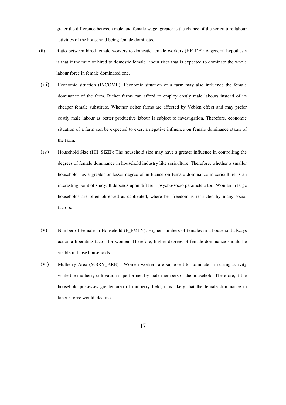grater the difference between male and female wage, greater is the chance of the sericulture labour activities of the household being female dominated.

- (ii) Ratio between hired female workers to domestic female workers (HF\_DF): A general hypothesis is that if the ratio of hired to domestic female labour rises that is expected to dominate the whole labour force in female dominated one.
- (iii) Economic situation (INCOME): Economic situation of a farm may also influence the female dominance of the farm. Richer farms can afford to employ costly male labours instead of its cheaper female substitute. Whether richer farms are affected by Veblen effect and may prefer costly male labour as better productive labour is subject to investigation. Therefore, economic situation of a farm can be expected to exert a negative influence on female dominance status of the farm.
- (iv) Household Size (HH\_SIZE): The household size may have a greater influence in controlling the degrees of female dominance in household industry like sericulture. Therefore, whether a smaller household has a greater or lesser degree of influence on female dominance in sericulture is an interesting point of study. It depends upon different psycho-socio parameters too. Women in large households are often observed as captivated, where her freedom is restricted by many social factors.
- (v) Number of Female in Household (F\_FMLY): Higher numbers of females in a household always act as a liberating factor for women. Therefore, higher degrees of female dominance should be visible in those households.
- (vi) Mulberry Area (MBRY\_ARE) : Women workers are supposed to dominate in rearing activity while the mulberry cultivation is performed by male members of the household. Therefore, if the household possesses greater area of mulberry field, it is likely that the female dominance in labour force would decline.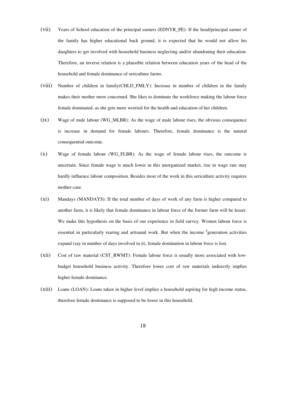- (vii) Years of School education of the principal earners (EDNYR\_PE): If the head/principal earner of the family has higher educational back ground, it is expected that he would not allow his daughters to get involved with household business neglecting and/or abandoning their education. Therefore, an inverse relation is a plausible relation between education years of the head of the household and female dominance of sericulture farms.
- (viii) Number of children in family(CHLD\_FMLY): Increase in number of children in the family makes their mother more concerned. She likes to dominate the workforce making the labour force female dominated, as she gets more worried for the health and education of her children.
- $(ix)$  Wage of male labour (WG\_MLBR): As the wage of male labour rises, the obvious consequence is increase in demand for female labours. Therefore, female dominance is the natural consequential outcome.
- (x) Wage of female labour (WG\_FLBR): As the wage of female labour rises, the outcome is uncertain. Since female wage is much lower in this unorganized market, rise in wage rate may hardly influence labour composition. Besides most of the work in this sericulture activity requires mother-care.
- (xi) Mandays (MANDAYS): If the total number of days of work of any farm is higher compared to another farm, it is likely that female dominance in labour force of the former farm will be lesser. We make this hypothesis on the basis of our experience in field survey. Women labour force is essential in particularly rearing and artisanal work. But when the income <sup>8</sup>generation activities expand (say in number of days involved in it), female domination in labour force is lost.
- (xii) Cost of raw material (CST\_RWMT): Female labour force is usually more associated with lowbudget household business activity. Therefore lower cost of raw materials indirectly implies higher female dominance.
- (xiii) Loans (LOAN): Loans taken in higher level implies a household aspiring for high income status, therefore female dominance is supposed to be lower in this household.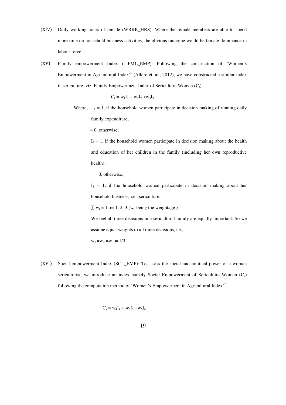- (xiv) Daily working hours of female (WRRK\_HRS): Where the female members are able to spend more time on household business activities, the obvious outcome would be female dominance in labour force.
- (xv) Family empowerment Index ( FML\_EMP): Following the construction of 'Women's Empowerment in Agricultural Index<sup>,6</sup> (Alkire et. al., 2012), we have constructed a similar index in sericulture, viz, Family Empowerment Index of Sericulture Women  $(C_f)$

$$
C_f = w_1 I_1 + w_2 I_2 + w_3 I_3
$$

Where,  $I_1 = 1$ , if the household women participate in decision making of running daily family expenditure;

 $= 0$ , otherwise;

 $I_2 = 1$ , if the household women participate in decision making about the health and education of her children in the family (including her own reproductive health);

 $= 0$ , otherwise;

 $I_3 = 1$ , if the household women participate in decision making about her household business, i.e., sericulture.

 $\sum w_i = 1$ , i= 1, 2, 3 ( $w_i$  being the weightage)

We feel all three decisions in a sericultural family are equally important. So we assume equal weights to all three decisions, i.e.,

 $w_1 = w_2 = w_3 = 1/3$ 

(xvi) Social empowerment Index (SCL\_EMP): To assess the social and political power of a woman sericulturist, we introduce an index namely Social Empowerment of Sericulture Women  $(C_s)$ following the computation method of 'Women's Empowerment in Agricultural Index'<sup>7</sup>.

 $C_{s}$  $C_s = W_4I_4 + W_5I_5 + W_6I_6$ 

19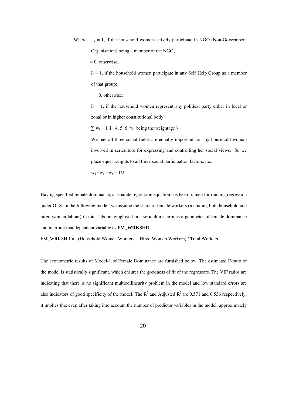Where,  $I_4 = 1$ , if the household women actively participate in NGO (Non-Government Organisation) being a member of the NGO;

 $= 0$ , otherwise;

 $I_5 = 1$ , if the household women participate in any Self Help Group as a member of that group;

 $= 0$ , otherwise;

 $I_6 = 1$ , if the household women represent any political party either in local or zonal or in higher constitutional body .

 $\sum w_i = 1$ , i= 4, 5, 6 ( $w_i$  being the weightage)

We feel all three social fields are equally important for any household woman involved in sericulture for expressing and controlling her social views. So we place equal weights to all three social participation factors, i.e.,

 $w_4 = w_5 = w_6 = 1/3$ 

Having specified female dominance, a separate regression equation has been framed for running regression under OLS. In the following model, we assume the share of female workers (including both household and hired women labour) in total labours employed in a sericulture farm as a parameter of female dominance and interpret that dependent variable as **FM\_WRKSHR**.

FM\_WRKSHR = (Household Women Workers + Hired Women Workers) / Total Workers

The econometric results of Model-1 of Female Dominance are furnished below. The estimated F-ratio of the model is statistically significant, which ensures the goodness of fit of the regressors. The VIF ratios are indicating that there is no significant multicollinearity problem in the model and low standard errors are also indicators of good specificity of the model. The  $R^2$  and Adjusted  $R^2$  are 0.571 and 0.536 respectively; it implies that even after taking into account the number of predictor variables in the model, approximately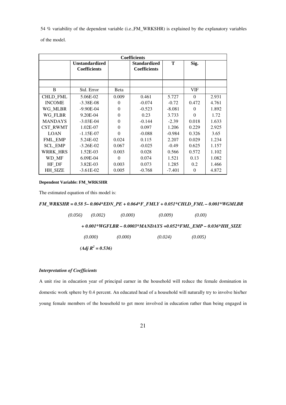54 % variability of the dependent variable (i.e.,FM\_WRKSHR) is explained by the explanatory variables

of the model.

| <b>Coefficients</b> |                                              |          |                                     |          |          |       |
|---------------------|----------------------------------------------|----------|-------------------------------------|----------|----------|-------|
|                     | <b>Unstandardized</b><br><b>Coefficients</b> |          | Standardized<br><b>Coefficients</b> | T        | Sig.     |       |
|                     |                                              |          |                                     |          |          |       |
| B                   | Std. Error                                   | Beta     |                                     |          | VIF      |       |
| CHLD_FML            | 5.06E-02                                     | 0.009    | 0.461                               | 5.727    | $\Omega$ | 2.931 |
| <b>INCOME</b>       | $-3.38E - 08$                                | 0        | $-0.074$                            | $-0.72$  | 0.472    | 4.761 |
| WG MLBR             | $-9.90E - 04$                                | $\Omega$ | $-0.523$                            | $-8.081$ | 0        | 1.892 |
| WG_FLBR             | 9.20E-04                                     | $\Omega$ | 0.23                                | 3.733    | $\Omega$ | 1.72  |
| <b>MANDAYS</b>      | $-3.03E-04$                                  | $\Omega$ | $-0.144$                            | $-2.39$  | 0.018    | 1.633 |
| <b>CST RWMT</b>     | 1.02E-07                                     | $\Omega$ | 0.097                               | 1.206    | 0.229    | 2.925 |
| <b>LOAN</b>         | $-1.15E-07$                                  | 0        | $-0.088$                            | $-0.984$ | 0.326    | 3.65  |
| FML_EMP             | 5.24E-02                                     | 0.024    | 0.115                               | 2.207    | 0.029    | 1.234 |
| <b>SCL EMP</b>      | $-3.26E - 02$                                | 0.067    | $-0.025$                            | $-0.49$  | 0.625    | 1.157 |
| <b>WRRK HRS</b>     | 1.52E-03                                     | 0.003    | 0.028                               | 0.566    | 0.572    | 1.102 |
| WD_MF               | 6.09E-04                                     | $\Omega$ | 0.074                               | 1.521    | 0.13     | 1.082 |
| HF_DF               | 3.82E-03                                     | 0.003    | 0.073                               | 1.285    | 0.2      | 1.466 |
| HH SIZE             | $-3.61E-02$                                  | 0.005    | $-0.768$                            | $-7.401$ | $\Omega$ | 4.872 |

## **Dependent Variable: FM\_WRKSHR**

The estimated equation of this model is:

# *FM\_WRKSHR = 0.58 5– 0.004\*EDN\_PE + 0.064\*F\_FMLY + 0.051\*CHLD\_FML – 0.001\*WGMLBR*

| (0.056) | (0.002)            | (0.000) | (0.009) | (0.00)                                                           |
|---------|--------------------|---------|---------|------------------------------------------------------------------|
|         |                    |         |         | $+0.001*WGFLBR - 0.0003*MANDAYS + 0.052*FML$ EMP - 0.036*HH SIZE |
|         | (0.000)            | (0.000) | (0.024) | (0.005)                                                          |
|         | $(Adj R2 = 0.536)$ |         |         |                                                                  |

## *Interpretation of Coefficients*

A unit rise in education year of principal earner in the household will reduce the female domination in domestic work sphere by 0.4 percent. An educated head of a household will naturally try to involve his/her young female members of the household to get more involved in education rather than being engaged in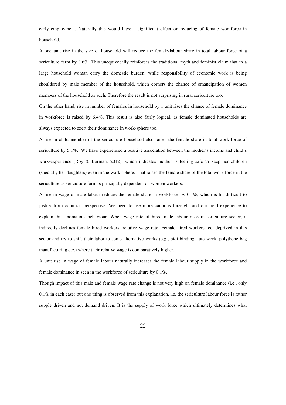early employment. Naturally this would have a significant effect on reducing of female workforce in household.

A one unit rise in the size of household will reduce the female-labour share in total labour force of a sericulture farm by 3.6%. This unequivocally reinforces the traditional myth and feminist claim that in a large household woman carry the domestic burden, while responsibility of economic work is being shouldered by male member of the household, which corners the chance of emancipation of women members of the household as such. Therefore the result is not surprising in rural sericulture too.

On the other hand, rise in number of females in household by 1 unit rises the chance of female dominance in workforce is raised by 6.4%. This result is also fairly logical, as female dominated households are always expected to exert their dominance in work-sphere too.

A rise in child member of the sericulture household also raises the female share in total work force of sericulture by 5.1%. We have experienced a positive association between the mother's income and child's work-experience (Roy & Barman, 2012), which indicates mother is feeling safe to keep her children (specially her daughters) even in the work sphere. That raises the female share of the total work force in the sericulture as sericulture farm is principally dependent on women workers.

A rise in wage of male labour reduces the female share in workforce by 0.1%, which is bit difficult to justify from common perspective. We need to use more cautious foresight and our field experience to explain this anomalous behaviour. When wage rate of hired male labour rises in sericulture sector, it indirectly declines female hired workers' relative wage rate. Female hired workers feel deprived in this sector and try to shift their labor to some alternative works (e.g., bidi binding, jute work, polythene bag manufacturing etc.) where their relative wage is comparatively higher.

A unit rise in wage of female labour naturally increases the female labour supply in the workforce and female dominance in seen in the workforce of sericulture by 0.1%.

Though impact of this male and female wage rate change is not very high on female dominance (i.e., only 0.1% in each case) but one thing is observed from this explanation, i.e, the sericulture labour force is rather supple driven and not demand driven. It is the supply of work force which ultimately determines what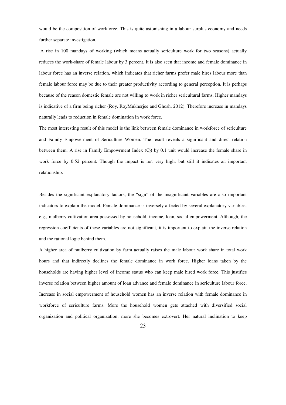would be the composition of workforce. This is quite astonishing in a labour surplus economy and needs further separate investigation.

 A rise in 100 mandays of working (which means actually sericulture work for two seasons) actually reduces the work-share of female labour by 3 percent. It is also seen that income and female dominance in labour force has an inverse relation, which indicates that richer farms prefer male hires labour more than female labour force may be due to their greater productivity according to general perception. It is perhaps because of the reason domestic female are not willing to work in richer sericultural farms. Higher mandays is indicative of a firm being richer (Roy, RoyMukherjee and Ghosh, 2012). Therefore increase in mandays naturally leads to reduction in female domination in work force.

The most interesting result of this model is the link between female dominance in workforce of sericulture and Family Empowerment of Sericulture Women. The result reveals a significant and direct relation between them. A rise in Family Empowrment Index  $(C_f)$  by 0.1 unit would increase the female share in work force by 0.52 percent. Though the impact is not very high, but still it indicates an important relationship.

Besides the significant explanatory factors, the "sign" of the insignificant variables are also important indicators to explain the model. Female dominance is inversely affected by several explanatory variables, e.g., mulberry cultivation area possessed by household, income, loan, social empowerment. Although, the regression coefficients of these variables are not significant, it is important to explain the inverse relation and the rational logic behind them.

A higher area of mulberry cultivation by farm actually raises the male labour work share in total work hours and that indirectly declines the female dominance in work force. Higher loans taken by the households are having higher level of income status who can keep male hired work force. This justifies inverse relation between higher amount of loan advance and female dominance in sericulture labour force. Increase in social empowerment of household women has an inverse relation with female dominance in workforce of sericulture farms. More the household women gets attached with diversified social organization and political organization, more she becomes extrovert. Her natural inclination to keep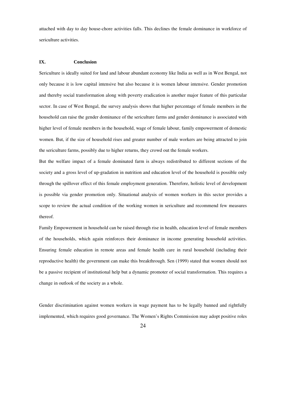attached with day to day house-chore activities falls. This declines the female dominance in workforce of sericulture activities.

#### **IX. Conclusion**

Sericulture is ideally suited for land and labour abundant economy like India as well as in West Bengal, not only because it is low capital intensive but also because it is women labour intensive. Gender promotion and thereby social transformation along with poverty eradication is another major feature of this particular sector. In case of West Bengal, the survey analysis shows that higher percentage of female members in the household can raise the gender dominance of the sericulture farms and gender dominance is associated with higher level of female members in the household, wage of female labour, family empowerment of domestic women. But, if the size of household rises and greater number of male workers are being attracted to join the sericulture farms, possibly due to higher returns, they crowd out the female workers.

But the welfare impact of a female dominated farm is always redistributed to different sections of the society and a gross level of up-gradation in nutrition and education level of the household is possible only through the spillover effect of this female employment generation. Therefore, holistic level of development is possible via gender promotion only. Situational analysis of women workers in this sector provides a scope to review the actual condition of the working women in sericulture and recommend few measures thereof.

Family Empowerment in household can be raised through rise in health, education level of female members of the households, which again reinforces their dominance in income generating household activities. Ensuring female education in remote areas and female health care in rural household (including their reproductive health) the government can make this breakthrough. Sen (1999) stated that women should not be a passive recipient of institutional help but a dynamic promoter of social transformation. This requires a change in outlook of the society as a whole.

Gender discrimination against women workers in wage payment has to be legally banned and rightfully implemented, which requires good governance. The Women's Rights Commission may adopt positive roles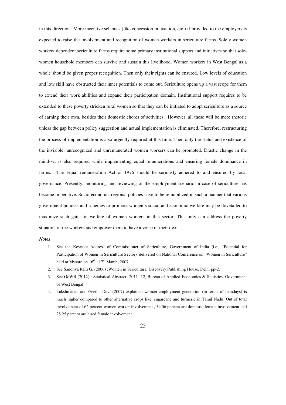in this direction. More incentive schemes (like concession in taxation, etc.) if provided to the employers is expected to raise the involvement and recognition of women workers in sericulture farms. Solely women workers dependent sericulture farms require some primary institutional support and initiatives so that solewomen household members can survive and sustain this livelihood. Women workers in West Bengal as a whole should be given proper recognition. Then only their rights can be ensured. Low levels of education and low skill have obstructed their inner potentials to come out. Sericulture opens up a vast scope for them to extend their work abilities and expand their participation domain. Institutional support requires to be extended to these poverty stricken rural women so that they can be initiated to adopt sericulture as a source of earning their own, besides their domestic chores of activities. However, all these will be mere rhetoric unless the gap between policy suggestion and actual implementation is eliminated. Therefore, restructuring the process of implementation is also urgently required at this time. Then only the status and existence of the invisible, unrecognized and unremunerated women workers can be promoted. Drastic change in the mind-set is also required while implementing equal remunerations and ensuring female dominance in farms. The Equal remuneration Act of 1976 should be seriously adhered to and ensured by local governance. Presently, monitoring and reviewing of the employment scenario in case of sericulture has become imperative. Socio-economic regional policies have to be remobilized in such a manner that various government policies and schemes to promote women's social and economic welfare may be dovetailed to maximize such gains in welfare of women workers in this sector. This only can address the poverty situation of the workers and empower them to have a voice of their own.

#### *Notes*

- 1. See the Keynote Address of Commissioner of Sericulture, Government of India (i.e., "Potential for Participation of Women in Sericulture Sector) delivered on National Conference on "Women in Sericulture" held at Mysore on  $16^{th}$ ,  $17^{th}$  March, 2007.
- 2. See Sandhya Rani G. (2006) :Women in Sericulture, Discovery Publishing House, Delhi pp-2.
- 3. See GoWB (2012) : Statistical Abstract- 2011 -12, Bureau of Applied Economics & Statistics, Government of West Bengal
- 4. Lakshmanan and Geetha Devi (2007) explained women employment generation (in terms of mandays) is much higher compared to other alternative crops like, sugarcane and turmeric in Tamil Nadu. Out of total involvement of 62 percent women worker involvement , 34.06 percent are domestic female involvement and 28.25 percent are hired female involvement.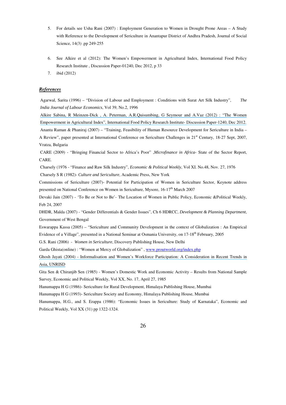- 5. For details see Usha Rani (2007) : Employment Generation to Women in Drought Prone Areas A Study with Reference to the Development of Sericulture in Anantapur District of Andhra Pradesh, Journal of Social Science, 14(3) .pp 249-255
- 6. See Alkire et al (2012): The Women's Empowerment in Agricultural Index, International Food Policy Research Institute , Discussion Paper-01240, Dec 2012, p 33
- 7. ibid (2012)

#### *References*

Agarwal, Sarita (1996) – "Division of Labour and Employment : Conditions with Surat Art Silk Industry", *The India Journal of Labour Economics*, Vol 39, No.2, 1996

Alkire Sabina, R Meinzen-Dick , A. Peterman, A.R.Quisumbing, G Seymour and A.Vaz (2012) : "The Women Empowerment in Agricultural Index", International Food Policy Research Institute- Discussion Paper-1240, Dec 2012. Ananta Raman & Phaniraj (2007) – "Training, Feasibility of Human Resource Development for Sericulture in India – A Review", paper presented at International Conference on Sericulture Challenges in 21<sup>st</sup> Century, 18-27 Sept, 2007, Vratza, Bulgaria

 CARE (2009) - "Bringing Financial Sector to Africa's Poor" ,*Microfinance in Africa*- State of the Sector Report, CARE.

 Charsely (1976 - "Finance and Raw Silk Industry", *Economic & Political Weekly*, Vol XI. No.48, Nov. 27, 1976 Charsely S R (1982)- *Culture and Sericulture*, Academic Press, New York

Commissions of Sericulture (2007)- Potential for Participation of Women in Sericulture Sector, Keynote address presented on National Conference on Women in Sericulture, Mysore, 16-17<sup>th</sup> March 2007

Devaki Jain (2007) - 'To Be or Not to Be'- The Location of Women in Public Policy, Economic &Political Weekly, Feb 24, 2007

DHDR, Malda (2007) - "Gender Differentials & Gender Issues", Ch 6 HDRCC, *Development & Planning Department*, Government of West Bengal

Eswarappa Kassa (2005) – "Sericulture and Community Development in the context of Globalization : An Empirical Evidence of a Village", presented in a National Seminar at Osmania University, on 17-18th February, 2005

G.S. Rani (2006) - *Women in Sericulture*, Discovery Publishing House, New Delhi

Garda Ghista(online) : "Women at Mercy of Globalization", www.proutworld.org/index.php

Ghosh Jayati (2004) - Informalisation and Women's Workforce Participation: A Consideration in Recent Trends in Asia, UNRISD

Gita Sen & Chiranjib Sen (1985) - Women's Domestic Work and Economic Activity – Results from National Sample Survey, Economic and Political Weekly, Vol XX, No. 17, April 27, 1985

Hanumappa H G (1986)- Sericulture for Rural Development, Himalaya Publishing House, Mumbai

Hanumappa H G (1993)- Sericulture Society and Economy, Himalaya Publishing House, Mumbai

Hanumappa, H.G., and S. Erappa (1986): "Economic Issues in Sericulture: Study of Karnataka", Economic and Political Weekly, Vol XX (31) pp 1322-1324.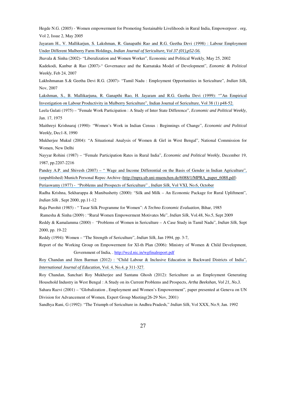Hegde N.G. (2005) - Women empowerment for Promoting Sustainable Livelihoods in Rural India, Empowerpoor . org, Vol 2, Issue 2, May 2005

Jayaram H., V. Mallikarjun, S. Lakshman, R. Ganapathi Rao and R.G. Geetha Devi (1998) : Labour Employment Under Different Mulberry Farm Holdings, *Indian Journal of Sericulture, Vol 37 (01),p52-56.* 

Jhavala & Sinha (2002)- "Liberalization and Women Worker", Economic and Political Weekly, May 25, 2002

Kadekodi, Kanbur & Rao (2007)-" Governance and the Karnataka Model of Development", *Eonomic & Political Weekly*, Feb 24, 2007

Lakhshmanan S.& Geetha Devi R.G. (2007)- "Tamil Nadu : Employment Opportunities in Sericulture", *Indian Silk,* Nov, 2007

Lakshman, S., B. Mallikarjuna, R. Ganapthi Rao, H. Jayaram and R.G. Geetha Devi (1999): ""An Empirical Investigation on Labour Productivity in Mulberry Sericulture", Indian Journal of Sericulture, Vol 38 (1) p48-52.

Leela Gulati (1975) – "Female Work Participation : A Study of Inter State Difference", *Economic and Political Weekly,*  Jan. 17, 1975

Maithreyi Krishnaraj (1990)- "Women's Work in Indian Census : Beginnings of Change", *Economic and Political Weekly,* Dec1-8, 1990

Mukherjee Mukul (2004): "A Situational Analysis of Women & Girl in West Bengal", National Commission for Women, New Delhi

Nayyar Rohini (1987) – "Female Participation Rates in Rural India", *Economic and Political Weekly*, December 19, 1987, pp.2207-2216

Pandey A.P. and Shivesh (2007) – " Wage and Income Differential on the Basis of Gender in Indian Agriculture", (unpublished) Munich Personal Repec Archive (http://mpra.ub.uni-muenchen.de/6088/1/MPRA\_paper\_6088.pdf)

Periaswamy (1977) - "Problems and Prospects of Sericulture" , *Indian Silk*, Vol VXI, No.6, October

Radha Krishna, Sekharappa & Manibashetty (2000): "Silk and Milk – An Economic Package for Rural Upliftment", *Indian Silk* , Sept 2000, pp.11-12

Raja Purohit (1985) - " Tasar Silk Programme for Women": *A Techno Economic Evaluation*, Bihar, 1985

Ramesha & Sinha (2009) : "Rural Women Empowerment Motivates Me", *Indian Silk*, Vol.48, No.5, Sept 2009

Reddy & Kamalamma (2000) - "Problems of Women in Sericulture – A Case Study in Tamil Nadu", *Indian Silk*, Sept 2000, pp. 19-22

Reddy (1994): Women – "The Strength of Sericulture", *Indian Silk*, Jan 1994, pp. 3-7,

Report of the Working Group on Empowerment for XI-th Plan (2006): Ministry of Women & Child Development, Government of India, . http://wcd.nic.in/wgfinalreport.pdf

Roy Chandan and Jiten Barman (2012) : "Child Labour & Inclusive Education in Backward Districts of India", *International Journal of Education,* Vol. 4, No.4, p 311-327.

Roy Chandan, Sanchari Roy Mukherjee and Santanu Ghosh (2012): Sericulture as an Employment Generating Household Industry in West Bengal : A Study on its Current Problems and Prospects, *Artha Beekshan, Vol 21, No.3.*

Sahara Razvi (2001) – "Globalization , Employment and Women's Empowerment", paper presented at Geneva on UN Division for Advancement of Women, Expert Group Meeting(26-29 Nov, 2001)

Sandhya Rani, G (1992): "The Triumph of Sericulture in Andhra Pradesh," *Indian Silk*, Vol XXX, No.9, Jan. 1992